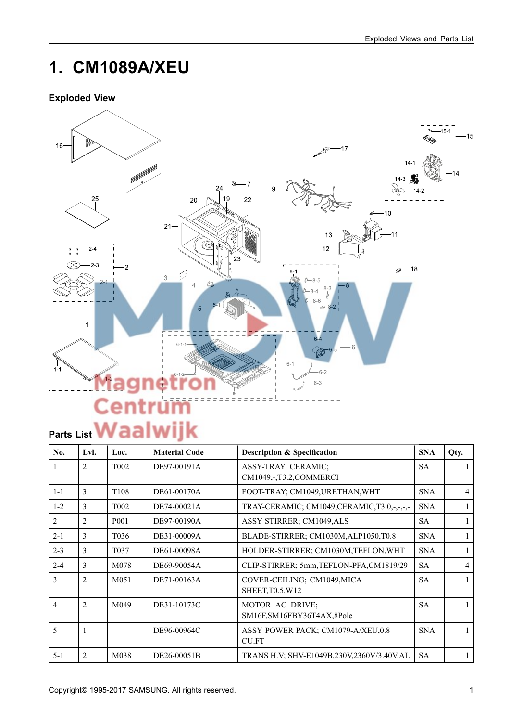# **1. CM1089A/XEU**

## **Exploded View**



| No.            | Lvl.           | Loc.              | <b>Material Code</b> | <b>Description &amp; Specification</b>              | <b>SNA</b> | Qty. |
|----------------|----------------|-------------------|----------------------|-----------------------------------------------------|------------|------|
| 1              | $\overline{2}$ | T <sub>002</sub>  | DE97-00191A          | <b>ASSY-TRAY CERAMIC;</b><br>CM1049,-,T3.2,COMMERCI | <b>SA</b>  |      |
| $1 - 1$        | $\overline{3}$ | T <sub>108</sub>  | DE61-00170A          | FOOT-TRAY; CM1049, URETHAN, WHT                     | <b>SNA</b> | 4    |
| $1 - 2$        | 3              | T <sub>002</sub>  | DE74-00021A          | TRAY-CERAMIC; CM1049, CERAMIC, T3.0,-,-,-,-         | <b>SNA</b> |      |
| $\mathfrak{D}$ | 2              | P <sub>001</sub>  | DE97-00190A          | ASSY STIRRER; CM1049,ALS                            | <b>SA</b>  |      |
| $2 - 1$        | 3              | T <sub>0</sub> 36 | DE31-00009A          | BLADE-STIRRER; CM1030M, ALP1050, T0.8               | <b>SNA</b> |      |
| $2 - 3$        | 3              | T <sub>0</sub> 37 | DE61-00098A          | HOLDER-STIRRER; CM1030M, TEFLON, WHT                | <b>SNA</b> |      |
| $2 - 4$        | 3              | M078              | DE69-90054A          | CLIP-STIRRER; 5mm, TEFLON-PFA, CM1819/29            | <b>SA</b>  | 4    |
| $\mathcal{E}$  | $\overline{2}$ | M051              | DE71-00163A          | COVER-CEILING; CM1049, MICA<br>SHEET, T0.5, W12     | <b>SA</b>  |      |
| $\overline{4}$ | $\overline{2}$ | M049              | DE31-10173C          | MOTOR AC DRIVE;<br>SM16F, SM16FBY36T4AX, 8Pole      | <b>SA</b>  |      |
| 5              | 1              |                   | DE96-00964C          | ASSY POWER PACK; CM1079-A/XEU,0.8<br>CU.FT          | <b>SNA</b> |      |
| $5 - 1$        | $\overline{2}$ | M038              | DE26-00051B          | TRANS H.V: SHV-E1049B,230V,2360V/3.40V,AL           | <b>SA</b>  |      |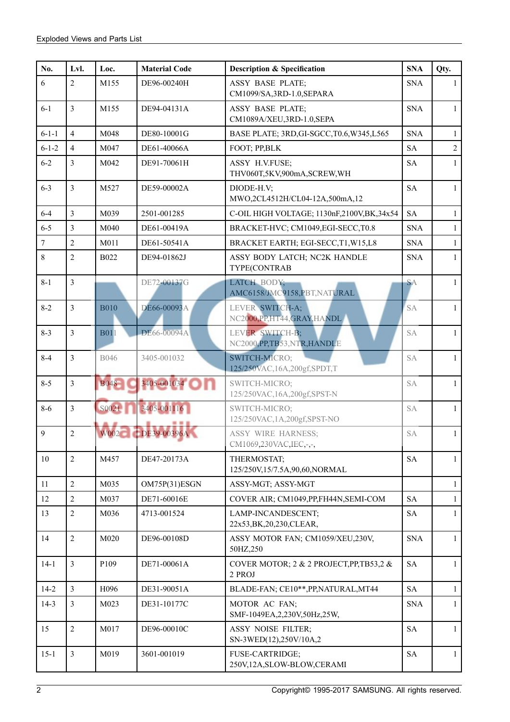| No.            | Lvl.           | Loc.        | <b>Material Code</b> | <b>Description &amp; Specification</b>               | <b>SNA</b> | Qty.           |
|----------------|----------------|-------------|----------------------|------------------------------------------------------|------------|----------------|
| 6              | $\overline{2}$ | M155        | DE96-00240H          | <b>ASSY BASE PLATE;</b><br>CM1099/SA,3RD-1.0,SEPARA  | <b>SNA</b> | $\mathbf{1}$   |
| $6 - 1$        | $\overline{3}$ | M155        | DE94-04131A          | <b>ASSY BASE PLATE;</b><br>CM1089A/XEU,3RD-1.0,SEPA  | <b>SNA</b> | $\mathbf{1}$   |
| $6 - 1 - 1$    | $\overline{4}$ | M048        | DE80-10001G          | BASE PLATE; 3RD, GI-SGCC, T0.6, W345, L565           | <b>SNA</b> | $\mathbf{1}$   |
| $6 - 1 - 2$    | $\overline{4}$ | M047        | DE61-40066A          | FOOT; PP,BLK                                         | <b>SA</b>  | $\overline{2}$ |
| $6 - 2$        | $\overline{3}$ | M042        | DE91-70061H          | ASSY H.V.FUSE;<br>THV060T,5KV,900mA,SCREW,WH         | <b>SA</b>  | 1              |
| $6 - 3$        | $\overline{3}$ | M527        | DE59-00002A          | DIODE-H.V;<br>MWO,2CL4512H/CL04-12A,500mA,12         | <b>SA</b>  | $\mathbf{1}$   |
| $6 - 4$        | $\overline{3}$ | M039        | 2501-001285          | C-OIL HIGH VOLTAGE; 1130nF,2100V,BK,34x54            | <b>SA</b>  | $\mathbf{1}$   |
| $6-5$          | $\overline{3}$ | M040        | DE61-00419A          | BRACKET-HVC; CM1049,EGI-SECC,T0.8                    | <b>SNA</b> | $\mathbf{1}$   |
| $\overline{7}$ | $\overline{2}$ | M011        | DE61-50541A          | BRACKET EARTH; EGI-SECC,T1,W15,L8                    | <b>SNA</b> | $\mathbf{1}$   |
| $\,8\,$        | $\overline{2}$ | B022        | DE94-01862J          | ASSY BODY LATCH; NC2K HANDLE<br>TYPE(CONTRAB         | <b>SNA</b> | $\mathbf{1}$   |
| $8 - 1$        | $\overline{3}$ |             | DE72-00137G          | LATCH BODY;<br>AMC6158/JMC9158, PBT, NATURAL         | <b>SA</b>  | $\mathbf{1}$   |
| $8 - 2$        | $\overline{3}$ | <b>B010</b> | DE66-00093A          | LEVER SWITCH-A;<br>NC2000, PP, HT44, GRAY, HANDL     | <b>SA</b>  | $\mathbf{1}$   |
| $8 - 3$        | $\overline{3}$ | <b>B011</b> | DE66-00094A          | LEVER SWITCH-B;<br>NC2000, PP, TB53, NTR, HANDLE     | <b>SA</b>  | 1              |
| $8 - 4$        | $\overline{3}$ | <b>B046</b> | 3405-001032          | SWITCH-MICRO;<br>125/250VAC, 16A, 200gf, SPDT, T     | <b>SA</b>  | $\mathbf{1}$   |
| $8 - 5$        | $\overline{3}$ | <b>B048</b> | 3405-001034          | SWITCH-MICRO;<br>125/250VAC, 16A, 200gf, SPST-N      | <b>SA</b>  | $\mathbf{1}$   |
| $8 - 6$        | $\overline{3}$ | S0021       | 3405-001116          | SWITCH-MICRO;<br>125/250VAC, 1A, 200gf, SPST-NO      | <b>SA</b>  | $\mathbf{1}$   |
| $\overline{9}$ | $\sqrt{2}$     | W002        | DE39-00396A          | <b>ASSY WIRE HARNESS;</b><br>CM1069,230VAC, IEC,-,-, | <b>SA</b>  | $\mathbf{1}$   |
| 10             | $\overline{2}$ | M457        | DE47-20173A          | THERMOSTAT:<br>125/250V,15/7.5A,90,60,NORMAL         | <b>SA</b>  | $\mathbf{1}$   |
| 11             | $\overline{2}$ | M035        | OM75P(31)ESGN        | ASSY-MGT; ASSY-MGT                                   |            | $\mathbf{1}$   |
| 12             | $\overline{2}$ | M037        | DE71-60016E          | COVER AIR; CM1049, PP, FH44N, SEMI-COM               | <b>SA</b>  | $\mathbf{1}$   |
| 13             | $\sqrt{2}$     | M036        | 4713-001524          | LAMP-INCANDESCENT;<br>22x53, BK, 20, 230, CLEAR,     | <b>SA</b>  | $\mathbf{1}$   |
| 14             | $\overline{2}$ | M020        | DE96-00108D          | ASSY MOTOR FAN; CM1059/XEU,230V,<br>50HZ,250         | <b>SNA</b> | $\mathbf{1}$   |
| $14-1$         | $\overline{3}$ | P109        | DE71-00061A          | COVER MOTOR; 2 & 2 PROJECT, PP, TB53,2 &<br>2 PROJ   | <b>SA</b>  | $\mathbf{1}$   |
| $14 - 2$       | $\overline{3}$ | H096        | DE31-90051A          | BLADE-FAN; CE10**, PP, NATURAL, MT44                 | <b>SA</b>  | $\mathbf{1}$   |
| $14-3$         | $\overline{3}$ | M023        | DE31-10177C          | MOTOR AC FAN;<br>SMF-1049EA,2,230V,50Hz,25W,         | <b>SNA</b> | $\mathbf{1}$   |
| 15             | $\overline{2}$ | M017        | DE96-00010C          | ASSY NOISE FILTER;<br>SN-3WED(12),250V/10A,2         | <b>SA</b>  | $\mathbf{1}$   |
| $15 - 1$       | $\overline{3}$ | M019        | 3601-001019          | FUSE-CARTRIDGE;<br>250V,12A,SLOW-BLOW,CERAMI         | <b>SA</b>  | $\mathbf{1}$   |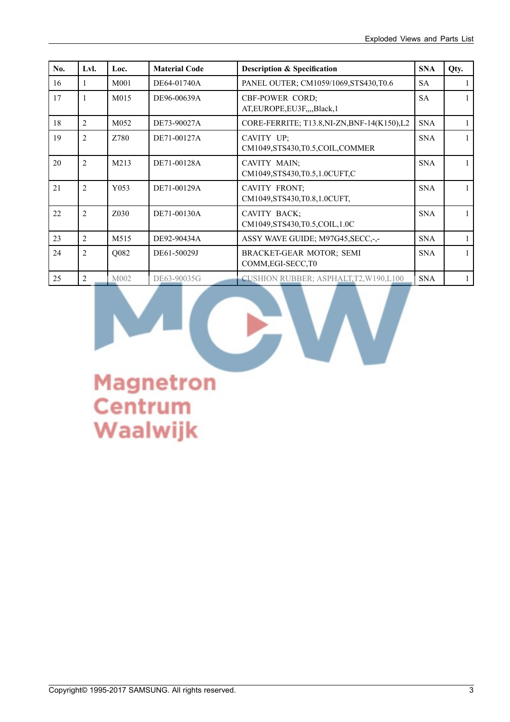| No. | Lvl.           | Loc.              | <b>Material Code</b> | <b>Description &amp; Specification</b>          | <b>SNA</b> | Qty. |
|-----|----------------|-------------------|----------------------|-------------------------------------------------|------------|------|
| 16  | 1              | M <sub>001</sub>  | DE64-01740A          | PANEL OUTER; CM1059/1069, STS430, T0.6          | <b>SA</b>  |      |
| 17  | $\mathbf{1}$   | M <sub>0</sub> 15 | DE96-00639A          | CBF-POWER CORD;<br>AT, EUROPE, EU3F, , Black, 1 | <b>SA</b>  |      |
| 18  | 2              | M052              | DE73-90027A          | CORE-FERRITE; T13.8, NI-ZN, BNF-14(K150), L2    | <b>SNA</b> |      |
| 19  | $\overline{2}$ | Z780              | DE71-00127A          | CAVITY UP;<br>CM1049,STS430,T0.5,COIL,COMMER    | <b>SNA</b> |      |
| 20  | 2              | M213              | DE71-00128A          | CAVITY MAIN:<br>CM1049,STS430,T0.5,1.0CUFT,C    | <b>SNA</b> |      |
| 21  | 2              | Y053              | DE71-00129A          | CAVITY FRONT;<br>CM1049,STS430,T0.8,1.0CUFT,    | <b>SNA</b> |      |
| 22  | 2              | Z030              | DE71-00130A          | CAVITY BACK;<br>CM1049,STS430,T0.5,COIL,1.0C    | <b>SNA</b> |      |
| 23  | 2              | M <sub>5</sub> 15 | DE92-90434A          | ASSY WAVE GUIDE; M97G45, SECC,-,-               | <b>SNA</b> |      |
| 24  | $\overline{2}$ | Q082              | DE61-50029J          | BRACKET-GEAR MOTOR; SEMI<br>COMM, EGI-SECC, T0  | <b>SNA</b> |      |
| 25  | 2              | M002              | DE63-90035G          | <b>CUSHION RUBBER: ASPHALT, T2, W190, L100</b>  | <b>SNA</b> |      |

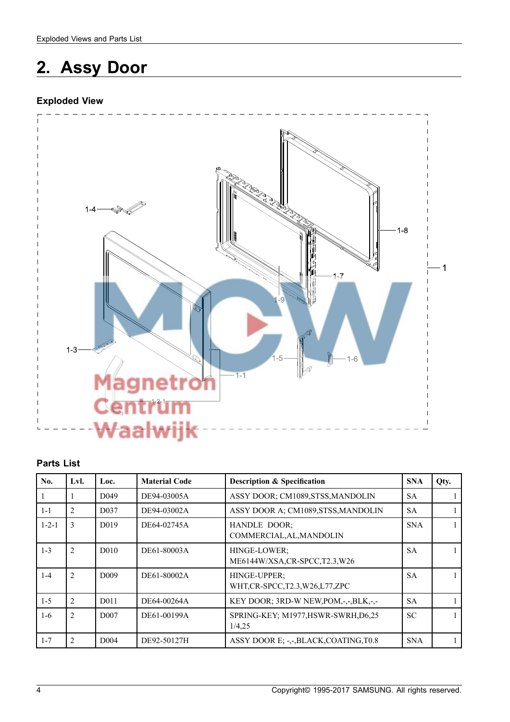# **2. Assy Door**

# **Exploded View**



#### **Parts List**

| No.         | Lvl.           | Loc.              | <b>Material Code</b> | <b>Description &amp; Specification</b>            | <b>SNA</b> | Qty. |
|-------------|----------------|-------------------|----------------------|---------------------------------------------------|------------|------|
|             | Ι.             | D <sub>049</sub>  | DE94-03005A          | ASSY DOOR; CM1089, STSS, MANDOLIN                 | <b>SA</b>  |      |
| $1 - 1$     | 2              | D <sub>0</sub> 37 | DE94-03002A          | ASSY DOOR A; CM1089,STSS, MANDOLIN                | <b>SA</b>  |      |
| $1 - 2 - 1$ | 3              | D <sub>0</sub> 19 | DE64-02745A          | <b>HANDLE DOOR;</b><br>COMMERCIAL, AL, MANDOLIN   | <b>SNA</b> |      |
| $1 - 3$     | $\overline{2}$ | D <sub>0</sub> 10 | DE61-80003A          | HINGE-LOWER:<br>ME6144W/XSA,CR-SPCC,T2.3,W26      | <b>SA</b>  |      |
| $1-4$       | $\overline{2}$ | D <sub>009</sub>  | DE61-80002A          | HINGE-UPPER:<br>WHT, CR-SPCC, T2.3, W26, L77, ZPC | <b>SA</b>  |      |
| $1 - 5$     | $\overline{2}$ | D <sub>0</sub> 11 | DE64-00264A          | KEY DOOR; 3RD-W NEW, POM, -, -, BLK, -, -         | <b>SA</b>  |      |
| $1-6$       | $\overline{2}$ | D <sub>007</sub>  | DE61-00199A          | SPRING-KEY; M1977, HSWR-SWRH, D6,25<br>1/4,25     | <b>SC</b>  |      |
| $1 - 7$     | 2              | D <sub>004</sub>  | DE92-50127H          | ASSY DOOR E: -.-,BLACK,COATING,T0.8               | <b>SNA</b> |      |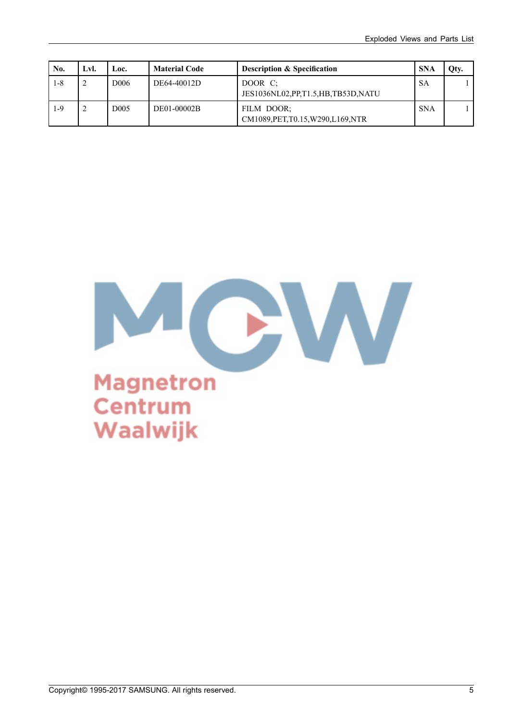| No.     | Lvl. | Loc.             | <b>Material Code</b> | <b>Description &amp; Specification</b>            | <b>SNA</b> | Qty. |
|---------|------|------------------|----------------------|---------------------------------------------------|------------|------|
| $1 - 8$ |      | D <sub>006</sub> | DE64-40012D          | DOOR C:<br>JES1036NL02, PP, T1.5, HB, TB53D, NATU | <b>SA</b>  |      |
| $1-9$   | 2    | D <sub>005</sub> | DE01-00002B          | FILM DOOR:<br>CM1089, PET, T0.15, W290, L169, NTR | <b>SNA</b> |      |